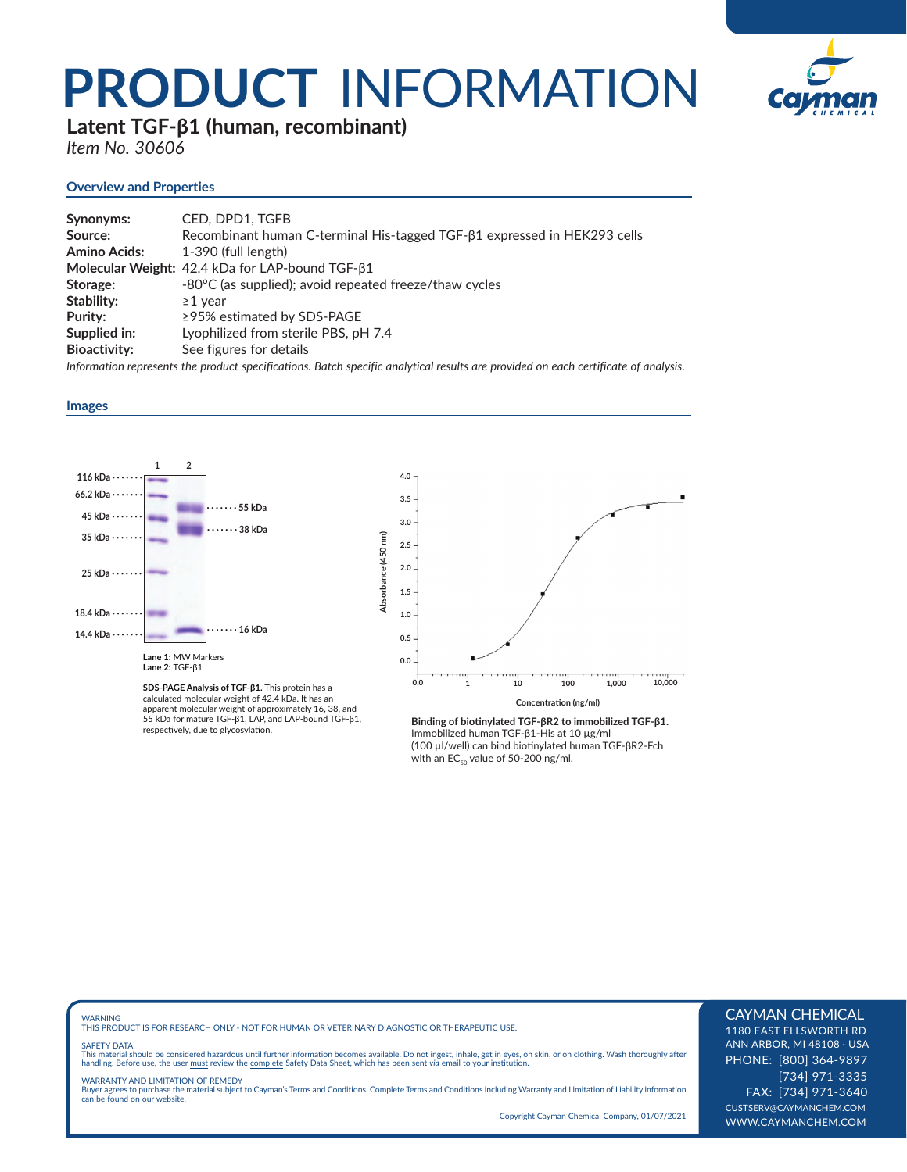## **PRODUCT** INFORMATION



**Latent TGF-β1 (human, recombinant)**

*Item No. 30606*

#### **Overview and Properties**

| Synonyms:           | CED. DPD1. TGFB                                                          |
|---------------------|--------------------------------------------------------------------------|
| Source:             | Recombinant human C-terminal His-tagged TGF-81 expressed in HEK293 cells |
| Amino Acids:        | 1-390 (full length)                                                      |
|                     | Molecular Weight: 42.4 kDa for LAP-bound TGF-β1                          |
| Storage:            | -80°C (as supplied); avoid repeated freeze/thaw cycles                   |
| Stability:          | $\geq$ 1 vear                                                            |
| Purity:             | $\ge$ 95% estimated by SDS-PAGE                                          |
| Supplied in:        | Lyophilized from sterile PBS, pH 7.4                                     |
| <b>Bioactivity:</b> | See figures for details                                                  |

*Information represents the product specifications. Batch specific analytical results are provided on each certificate of analysis.*

#### **Images**



**SDS-PAGE Analysis of TGF-β1.** This protein has a calculated molecular weight of 42.4 kDa. It has an apparent molecular weight of approximately 16, 38, and 55 kDa for mature TGF-β1, LAP, and LAP-bound TGF-β1, respectively, due to glycosylation.



Binding of biotinylated TGF-βR2 to immobilized TGF-β1. Immobilized human TGF-β1-His at 10 µg/ml (100 μl/well) can bind biotinylated human TGF-βR2-Fch with an  $EC_{50}$  value of 50-200 ng/ml.

WARNING THIS PRODUCT IS FOR RESEARCH ONLY - NOT FOR HUMAN OR VETERINARY DIAGNOSTIC OR THERAPEUTIC USE.

#### SAFETY DATA

This material should be considered hazardous until further information becomes available. Do not ingest, inhale, get in eyes, on skin, or on clothing. Wash thoroughly after<br>handling. Before use, the user must review the co

WARRANTY AND LIMITATION OF REMEDY Buyer agrees to purchase the material subject to Cayman's Terms and Conditions. Complete Terms and Conditions including Warranty and Limitation of Liability information can be found on our website.

Copyright Cayman Chemical Company, 01/07/2021

### CAYMAN CHEMICAL

1180 EAST ELLSWORTH RD ANN ARBOR, MI 48108 · USA PHONE: [800] 364-9897 [734] 971-3335 FAX: [734] 971-3640 CUSTSERV@CAYMANCHEM.COM WWW.CAYMANCHEM.COM